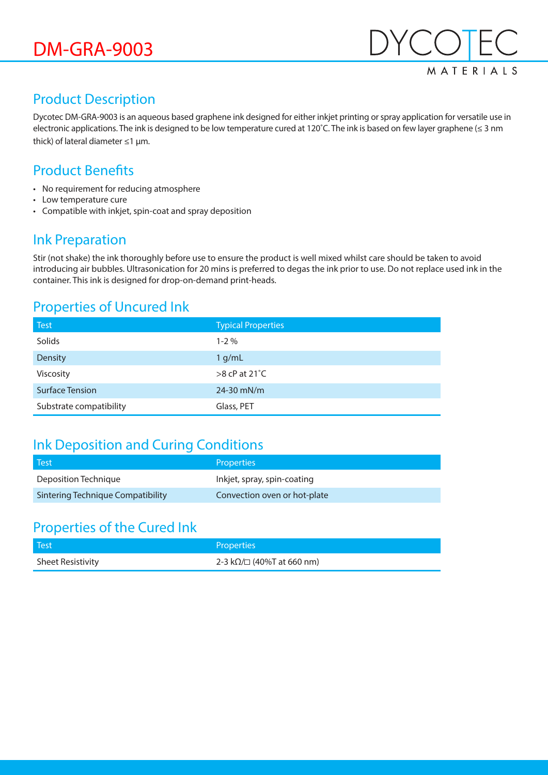

### Product Description

Dycotec DM-GRA-9003 is an aqueous based graphene ink designed for either inkjet printing or spray application for versatile use in electronic applications. The ink is designed to be low temperature cured at 120˚C. The ink is based on few layer graphene (≤ 3 nm thick) of lateral diameter ≤1 µm.

## Product Benefits

- No requirement for reducing atmosphere
- Low temperature cure
- Compatible with inkjet, spin-coat and spray deposition

#### Ink Preparation

Stir (not shake) the ink thoroughly before use to ensure the product is well mixed whilst care should be taken to avoid introducing air bubbles. Ultrasonication for 20 mins is preferred to degas the ink prior to use. Do not replace used ink in the container. This ink is designed for drop-on-demand print-heads.

#### Properties of Uncured Ink

| <b>Test</b>             | <b>Typical Properties</b> |
|-------------------------|---------------------------|
| Solids                  | $1 - 2\%$                 |
| Density                 | 1 g/mL                    |
| Viscosity               | $>8$ cP at 21 $°C$        |
| <b>Surface Tension</b>  | $24 - 30$ mN/m            |
| Substrate compatibility | Glass, PET                |

### Ink Deposition and Curing Conditions

| l Test                            | Properties'                  |
|-----------------------------------|------------------------------|
| Deposition Technique              | Inkjet, spray, spin-coating  |
| Sintering Technique Compatibility | Convection oven or hot-plate |

### Properties of the Cured Ink

| Test              | <b>Properties</b>               |
|-------------------|---------------------------------|
| Sheet Resistivity | 2-3 kΩ/ $\Box$ (40%T at 660 nm) |